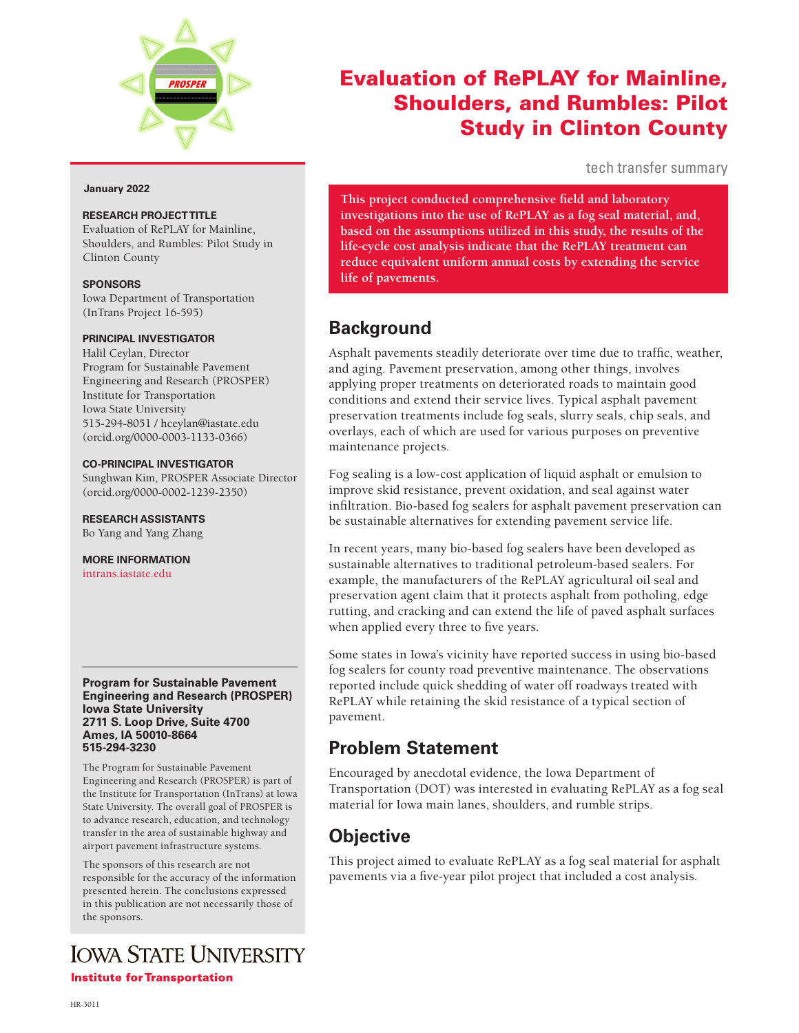

#### **January 2022**

#### **RESEARCH PROJECT TITLE**

Evaluation of RePLAY for Mainline, Shoulders, and Rumbles: Pilot Study in Clinton County

#### **SPONSORS**

Iowa Department of Transportation (InTrans Project 16-595)

#### **PRINCIPAL INVESTIGATOR**

Halil Ceylan, Director Program for Sustainable Pavement Engineering and Research (PROSPER) Institute for Transportation Iowa State University 515-294-8051 / hceylan@iastate.edu (orcid.org/0000-0003-1133-0366)

#### **CO-PRINCIPAL INVESTIGATOR**

Sunghwan Kim, PROSPER Associate Director (orcid.org/0000-0002-1239-2350)

#### **RESEARCH ASSISTANTS**

Bo Yang and Yang Zhang

**MORE INFORMATION** [intrans.iastate.edu](http://www.intrans.iastate.edu/)

#### **Program for Sustainable Pavement Engineering and Research (PROSPER) Iowa State University 2711 S. Loop Drive, Suite 4700 Ames, IA 50010-8664 515-294-3230**

The Program for Sustainable Pavement Engineering and Research (PROSPER) is part of the Institute for Transportation (InTrans) at Iowa State University. The overall goal of PROSPER is to advance research, education, and technology transfer in the area of sustainable highway and airport pavement infrastructure systems.

The sponsors of this research are not responsible for the accuracy of the information presented herein. The conclusions expressed in this publication are not necessarily those of the sponsors.

# **IOWA STATE UNIVERSITY**

**Institute for Transportation** 

# Evaluation of RePLAY for Mainline, Shoulders, and Rumbles: Pilot Study in Clinton County

tech transfer summary

**This project conducted comprehensive field and laboratory investigations into the use of RePLAY as a fog seal material, and, based on the assumptions utilized in this study, the results of the life-cycle cost analysis indicate that the RePLAY treatment can reduce equivalent uniform annual costs by extending the service life of pavements.**

## **Background**

Asphalt pavements steadily deteriorate over time due to traffic, weather, and aging. Pavement preservation, among other things, involves applying proper treatments on deteriorated roads to maintain good conditions and extend their service lives. Typical asphalt pavement preservation treatments include fog seals, slurry seals, chip seals, and overlays, each of which are used for various purposes on preventive maintenance projects.

Fog sealing is a low-cost application of liquid asphalt or emulsion to improve skid resistance, prevent oxidation, and seal against water infiltration. Bio-based fog sealers for asphalt pavement preservation can be sustainable alternatives for extending pavement service life.

In recent years, many bio-based fog sealers have been developed as sustainable alternatives to traditional petroleum-based sealers. For example, the manufacturers of the RePLAY agricultural oil seal and preservation agent claim that it protects asphalt from potholing, edge rutting, and cracking and can extend the life of paved asphalt surfaces when applied every three to five years.

Some states in Iowa's vicinity have reported success in using bio-based fog sealers for county road preventive maintenance. The observations reported include quick shedding of water off roadways treated with RePLAY while retaining the skid resistance of a typical section of pavement.

### **Problem Statement**

Encouraged by anecdotal evidence, the Iowa Department of Transportation (DOT) was interested in evaluating RePLAY as a fog seal material for Iowa main lanes, shoulders, and rumble strips.

### **Objective**

This project aimed to evaluate RePLAY as a fog seal material for asphalt pavements via a five-year pilot project that included a cost analysis.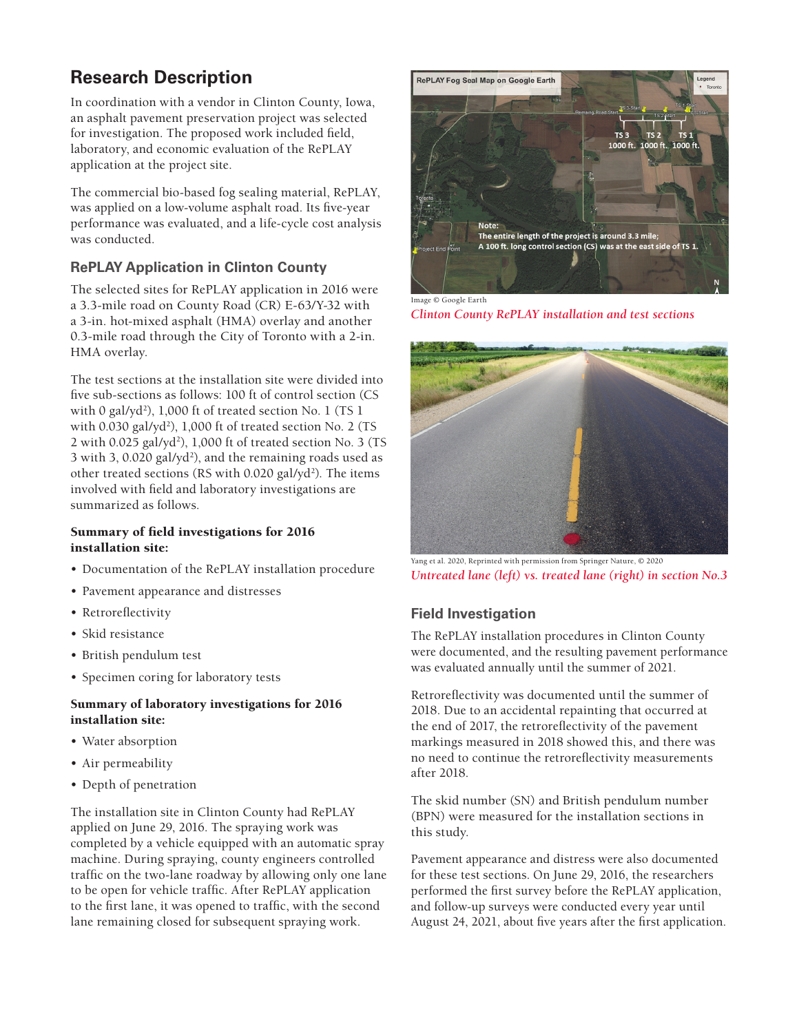# **Research Description**

In coordination with a vendor in Clinton County, Iowa, an asphalt pavement preservation project was selected for investigation. The proposed work included field, laboratory, and economic evaluation of the RePLAY application at the project site.

The commercial bio-based fog sealing material, RePLAY, was applied on a low-volume asphalt road. Its five-year performance was evaluated, and a life-cycle cost analysis was conducted.

#### **RePLAY Application in Clinton County**

The selected sites for RePLAY application in 2016 were a 3.3-mile road on County Road (CR) E-63/Y-32 with a 3-in. hot-mixed asphalt (HMA) overlay and another 0.3-mile road through the City of Toronto with a 2-in. HMA overlay.

The test sections at the installation site were divided into five sub-sections as follows: 100 ft of control section (CS with 0 gal/yd<sup>2</sup>), 1,000 ft of treated section No. 1 (TS 1 with 0.030 gal/yd<sup>2</sup>), 1,000 ft of treated section No. 2 (TS 2 with 0.025 gal/yd<sup>2</sup>), 1,000 ft of treated section No. 3 (TS 3 with 3, 0.020 gal/yd<sup>2</sup>), and the remaining roads used as other treated sections (RS with 0.020 gal/yd<sup>2</sup>). The items involved with field and laboratory investigations are summarized as follows.

#### Summary of field investigations for 2016 installation site:

- Documentation of the RePLAY installation procedure
- Pavement appearance and distresses
- Retroreflectivity
- Skid resistance
- British pendulum test
- Specimen coring for laboratory tests

#### Summary of laboratory investigations for 2016 installation site:

- Water absorption
- Air permeability
- Depth of penetration

The installation site in Clinton County had RePLAY applied on June 29, 2016. The spraying work was completed by a vehicle equipped with an automatic spray machine. During spraying, county engineers controlled traffic on the two-lane roadway by allowing only one lane to be open for vehicle traffic. After RePLAY application to the first lane, it was opened to traffic, with the second lane remaining closed for subsequent spraying work.



Image © Google Earth *Clinton County RePLAY installation and test sections*



Yang et al. 2020, Reprinted with permission from Springer Nature, © 2020 *Untreated lane (left) vs. treated lane (right) in section No.3*

#### **Field Investigation**

The RePLAY installation procedures in Clinton County were documented, and the resulting pavement performance was evaluated annually until the summer of 2021.

Retroreflectivity was documented until the summer of 2018. Due to an accidental repainting that occurred at the end of 2017, the retroreflectivity of the pavement markings measured in 2018 showed this, and there was no need to continue the retroreflectivity measurements after 2018.

The skid number (SN) and British pendulum number (BPN) were measured for the installation sections in this study.

Pavement appearance and distress were also documented for these test sections. On June 29, 2016, the researchers performed the first survey before the RePLAY application, and follow-up surveys were conducted every year until August 24, 2021, about five years after the first application.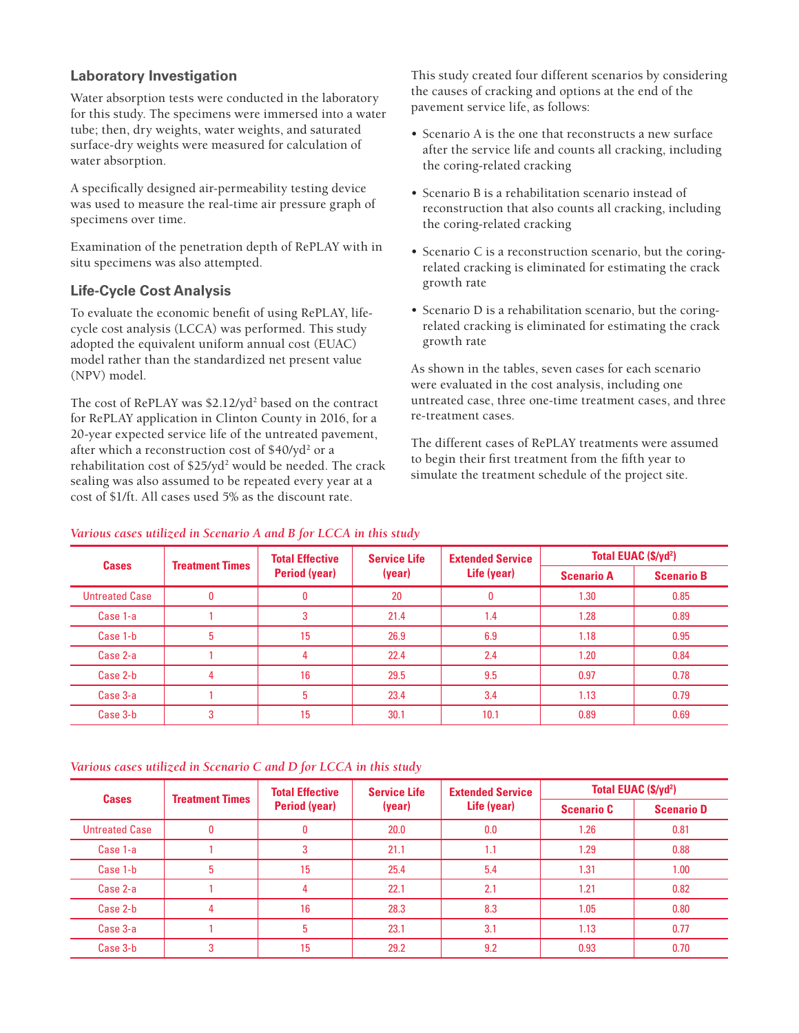#### **Laboratory Investigation**

Water absorption tests were conducted in the laboratory for this study. The specimens were immersed into a water tube; then, dry weights, water weights, and saturated surface-dry weights were measured for calculation of water absorption.

A specifically designed air-permeability testing device was used to measure the real-time air pressure graph of specimens over time.

Examination of the penetration depth of RePLAY with in situ specimens was also attempted.

#### **Life-Cycle Cost Analysis**

To evaluate the economic benefit of using RePLAY, lifecycle cost analysis (LCCA) was performed. This study adopted the equivalent uniform annual cost (EUAC) model rather than the standardized net present value (NPV) model.

The cost of RePLAY was \$2.12/yd<sup>2</sup> based on the contract for RePLAY application in Clinton County in 2016, for a 20-year expected service life of the untreated pavement, after which a reconstruction cost of \$40/yd<sup>2</sup> or a rehabilitation cost of \$25/yd<sup>2</sup> would be needed. The crack sealing was also assumed to be repeated every year at a cost of \$1/ft. All cases used 5% as the discount rate.

This study created four different scenarios by considering the causes of cracking and options at the end of the pavement service life, as follows:

- Scenario A is the one that reconstructs a new surface after the service life and counts all cracking, including the coring-related cracking
- Scenario B is a rehabilitation scenario instead of reconstruction that also counts all cracking, including the coring-related cracking
- Scenario C is a reconstruction scenario, but the coringrelated cracking is eliminated for estimating the crack growth rate
- Scenario D is a rehabilitation scenario, but the coringrelated cracking is eliminated for estimating the crack growth rate

As shown in the tables, seven cases for each scenario were evaluated in the cost analysis, including one untreated case, three one-time treatment cases, and three re-treatment cases.

The different cases of RePLAY treatments were assumed to begin their first treatment from the fifth year to simulate the treatment schedule of the project site.

| <b>Cases</b>          | <b>Treatment Times</b> | <b>Total Effective</b><br><b>Period (year)</b> | <b>Service Life</b><br>(year) | <b>Extended Service</b><br>Life (year) | Total EUAC (\$/yd <sup>2</sup> ) |                   |
|-----------------------|------------------------|------------------------------------------------|-------------------------------|----------------------------------------|----------------------------------|-------------------|
|                       |                        |                                                |                               |                                        | <b>Scenario A</b>                | <b>Scenario B</b> |
| <b>Untreated Case</b> |                        | 0                                              | 20                            | $\bf{0}$                               | 1.30                             | 0.85              |
| Case 1-a              |                        | 3                                              | 21.4                          | 1.4                                    | 1.28                             | 0.89              |
| Case 1-b              |                        | 15                                             | 26.9                          | 6.9                                    | 1.18                             | 0.95              |
| Case 2-a              |                        | 4                                              | 22.4                          | 2.4                                    | 1.20                             | 0.84              |
| Case 2-b              | 4                      | 16                                             | 29.5                          | 9.5                                    | 0.97                             | 0.78              |
| Case 3-a              |                        | 5                                              | 23.4                          | 3.4                                    | 1.13                             | 0.79              |
| Case 3-b              |                        | 15                                             | 30.1                          | 10.1                                   | 0.89                             | 0.69              |

#### *Various cases utilized in Scenario A and B for LCCA in this study*

*Various cases utilized in Scenario C and D for LCCA in this study*

| <b>Cases</b>          | <b>Treatment Times</b> | <b>Total Effective</b><br><b>Period (year)</b> | <b>Service Life</b><br>(year) | <b>Extended Service</b><br>Life (year) | Total EUAC (\$/yd <sup>2</sup> ) |                   |
|-----------------------|------------------------|------------------------------------------------|-------------------------------|----------------------------------------|----------------------------------|-------------------|
|                       |                        |                                                |                               |                                        | <b>Scenario C</b>                | <b>Scenario D</b> |
| <b>Untreated Case</b> | $\bf{0}$               | $\mathbf{0}$                                   | 20.0                          | 0.0                                    | 1.26                             | 0.81              |
| Case 1-a              |                        | 3                                              | 21.1                          | 1.1                                    | 1.29                             | 0.88              |
| Case 1-b              | 5                      | 15                                             | 25.4                          | 5.4                                    | 1.31                             | 1.00              |
| Case 2-a              |                        | 4                                              | 22.1                          | 2.1                                    | 1.21                             | 0.82              |
| Case 2-b              | 4                      | 16                                             | 28.3                          | 8.3                                    | 1.05                             | 0.80              |
| Case 3-a              |                        | 5                                              | 23.1                          | 3.1                                    | 1.13                             | 0.77              |
| Case 3-b              | 3                      | 15                                             | 29.2                          | 9.2                                    | 0.93                             | 0.70              |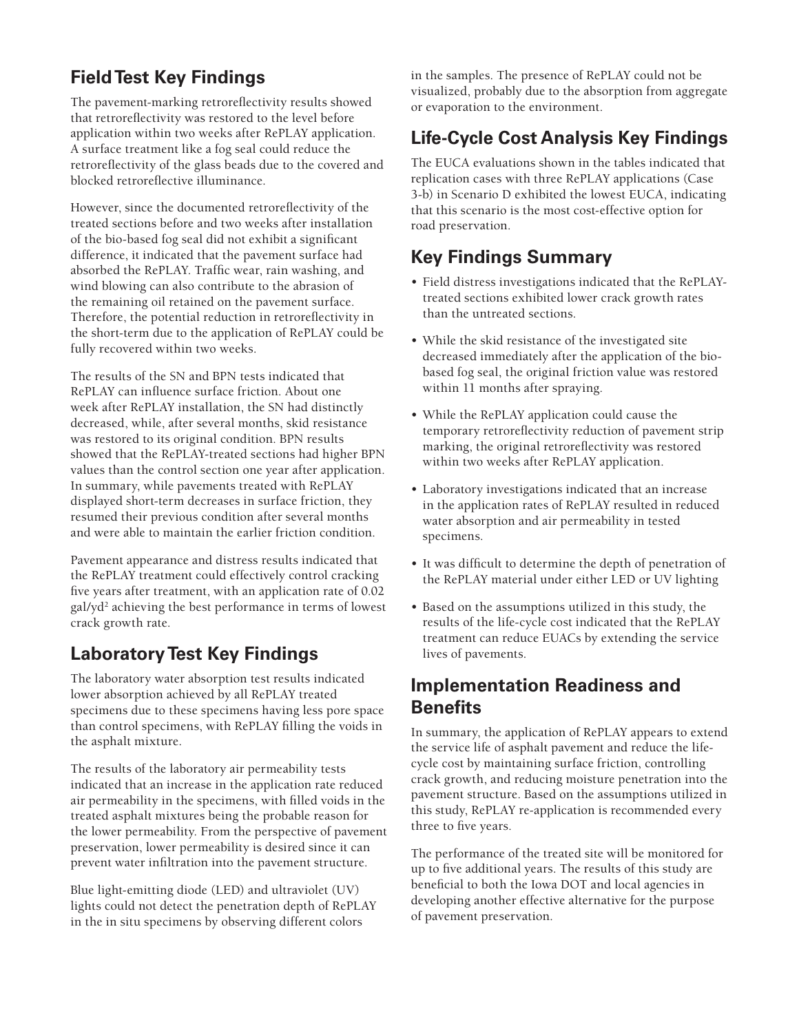# **Field Test Key Findings**

The pavement-marking retroreflectivity results showed that retroreflectivity was restored to the level before application within two weeks after RePLAY application. A surface treatment like a fog seal could reduce the retroreflectivity of the glass beads due to the covered and blocked retroreflective illuminance.

However, since the documented retroreflectivity of the treated sections before and two weeks after installation of the bio-based fog seal did not exhibit a significant difference, it indicated that the pavement surface had absorbed the RePLAY. Traffic wear, rain washing, and wind blowing can also contribute to the abrasion of the remaining oil retained on the pavement surface. Therefore, the potential reduction in retroreflectivity in the short-term due to the application of RePLAY could be fully recovered within two weeks.

The results of the SN and BPN tests indicated that RePLAY can influence surface friction. About one week after RePLAY installation, the SN had distinctly decreased, while, after several months, skid resistance was restored to its original condition. BPN results showed that the RePLAY-treated sections had higher BPN values than the control section one year after application. In summary, while pavements treated with RePLAY displayed short-term decreases in surface friction, they resumed their previous condition after several months and were able to maintain the earlier friction condition.

Pavement appearance and distress results indicated that the RePLAY treatment could effectively control cracking five years after treatment, with an application rate of 0.02 gal/yd2 achieving the best performance in terms of lowest crack growth rate.

### **Laboratory Test Key Findings**

The laboratory water absorption test results indicated lower absorption achieved by all RePLAY treated specimens due to these specimens having less pore space than control specimens, with RePLAY filling the voids in the asphalt mixture.

The results of the laboratory air permeability tests indicated that an increase in the application rate reduced air permeability in the specimens, with filled voids in the treated asphalt mixtures being the probable reason for the lower permeability. From the perspective of pavement preservation, lower permeability is desired since it can prevent water infiltration into the pavement structure.

Blue light-emitting diode (LED) and ultraviolet (UV) lights could not detect the penetration depth of RePLAY in the in situ specimens by observing different colors

in the samples. The presence of RePLAY could not be visualized, probably due to the absorption from aggregate or evaporation to the environment.

# **Life-Cycle Cost Analysis Key Findings**

The EUCA evaluations shown in the tables indicated that replication cases with three RePLAY applications (Case 3-b) in Scenario D exhibited the lowest EUCA, indicating that this scenario is the most cost-effective option for road preservation.

# **Key Findings Summary**

- Field distress investigations indicated that the RePLAYtreated sections exhibited lower crack growth rates than the untreated sections.
- While the skid resistance of the investigated site decreased immediately after the application of the biobased fog seal, the original friction value was restored within 11 months after spraying.
- While the RePLAY application could cause the temporary retroreflectivity reduction of pavement strip marking, the original retroreflectivity was restored within two weeks after RePLAY application.
- Laboratory investigations indicated that an increase in the application rates of RePLAY resulted in reduced water absorption and air permeability in tested specimens.
- It was difficult to determine the depth of penetration of the RePLAY material under either LED or UV lighting
- Based on the assumptions utilized in this study, the results of the life-cycle cost indicated that the RePLAY treatment can reduce EUACs by extending the service lives of pavements.

### **Implementation Readiness and Benefits**

In summary, the application of RePLAY appears to extend the service life of asphalt pavement and reduce the lifecycle cost by maintaining surface friction, controlling crack growth, and reducing moisture penetration into the pavement structure. Based on the assumptions utilized in this study, RePLAY re-application is recommended every three to five years.

The performance of the treated site will be monitored for up to five additional years. The results of this study are beneficial to both the Iowa DOT and local agencies in developing another effective alternative for the purpose of pavement preservation.